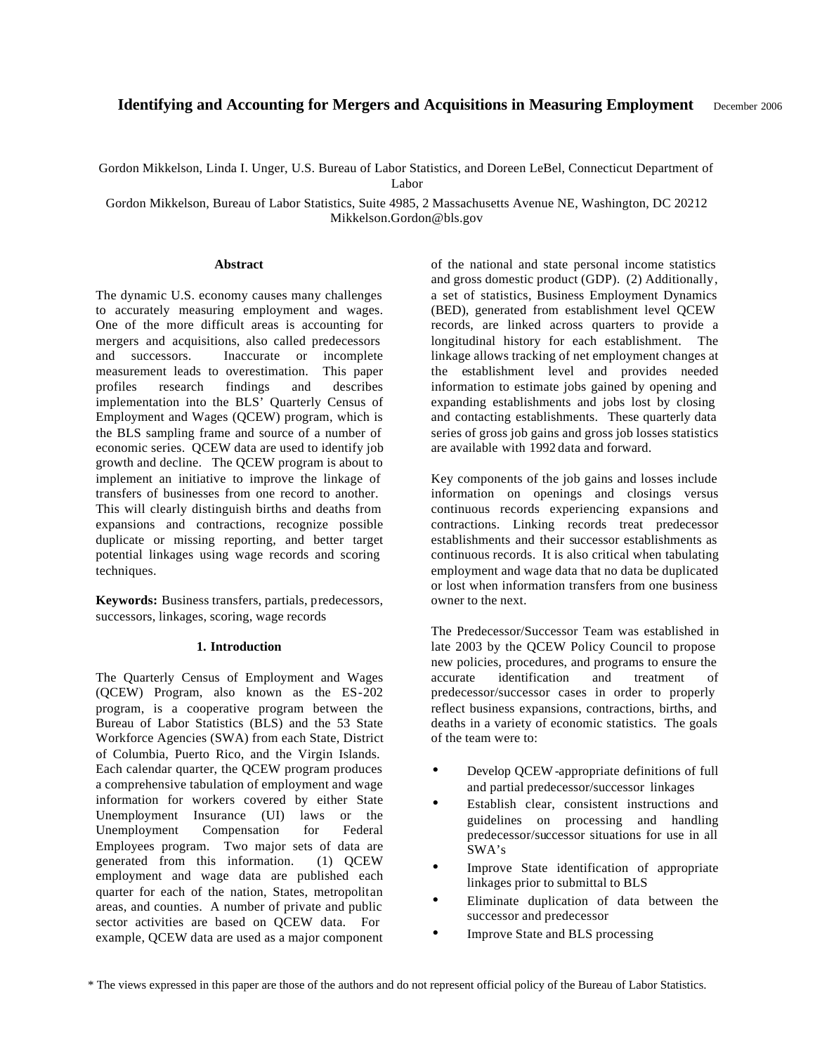# **Identifying and Accounting for Mergers and Acquisitions in Measuring Employment** December 2006

Gordon Mikkelson, Linda I. Unger, U.S. Bureau of Labor Statistics, and Doreen LeBel, Connecticut Department of

Labor

Gordon Mikkelson, Bureau of Labor Statistics, Suite 4985, 2 Massachusetts Avenue NE, Washington, DC 20212 Mikkelson.Gordon@bls.gov

#### **Abstract**

The dynamic U.S. economy causes many challenges to accurately measuring employment and wages. One of the more difficult areas is accounting for mergers and acquisitions, also called predecessors and successors. Inaccurate or incomplete measurement leads to overestimation. This paper profiles research findings and describes implementation into the BLS' Quarterly Census of Employment and Wages (QCEW) program, which is the BLS sampling frame and source of a number of economic series. QCEW data are used to identify job growth and decline. The QCEW program is about to implement an initiative to improve the linkage of transfers of businesses from one record to another. This will clearly distinguish births and deaths from expansions and contractions, recognize possible duplicate or missing reporting, and better target potential linkages using wage records and scoring techniques.

**Keywords:** Business transfers, partials, predecessors, successors, linkages, scoring, wage records

#### **1. Introduction**

The Quarterly Census of Employment and Wages (QCEW) Program, also known as the ES-202 program, is a cooperative program between the Bureau of Labor Statistics (BLS) and the 53 State Workforce Agencies (SWA) from each State, District of Columbia, Puerto Rico, and the Virgin Islands. Each calendar quarter, the QCEW program produces a comprehensive tabulation of employment and wage information for workers covered by either State Unemployment Insurance (UI) laws or the Unemployment Compensation for Federal Employees program. Two major sets of data are generated from this information. (1) QCEW employment and wage data are published each quarter for each of the nation, States, metropolitan areas, and counties. A number of private and public sector activities are based on QCEW data. For example, QCEW data are used as a major component

of the national and state personal income statistics and gross domestic product (GDP). (2) Additionally, a set of statistics, Business Employment Dynamics (BED), generated from establishment level QCEW records, are linked across quarters to provide a longitudinal history for each establishment. The linkage allows tracking of net employment changes at the establishment level and provides needed information to estimate jobs gained by opening and expanding establishments and jobs lost by closing and contacting establishments. These quarterly data series of gross job gains and gross job losses statistics are available with 1992 data and forward.

Key components of the job gains and losses include information on openings and closings versus continuous records experiencing expansions and contractions. Linking records treat predecessor establishments and their successor establishments as continuous records. It is also critical when tabulating employment and wage data that no data be duplicated or lost when information transfers from one business owner to the next.

The Predecessor/Successor Team was established in late 2003 by the QCEW Policy Council to propose new policies, procedures, and programs to ensure the accurate identification and treatment of predecessor/successor cases in order to properly reflect business expansions, contractions, births, and deaths in a variety of economic statistics. The goals of the team were to:

- Develop QCEW -appropriate definitions of full and partial predecessor/successor linkages
- Establish clear, consistent instructions and guidelines on processing and handling predecessor/successor situations for use in all SWA's
- Improve State identification of appropriate linkages prior to submittal to BLS
- Eliminate duplication of data between the successor and predecessor
- Improve State and BLS processing

<sup>\*</sup> The views expressed in this paper are those of the authors and do not represent official policy of the Bureau of Labor Statistics.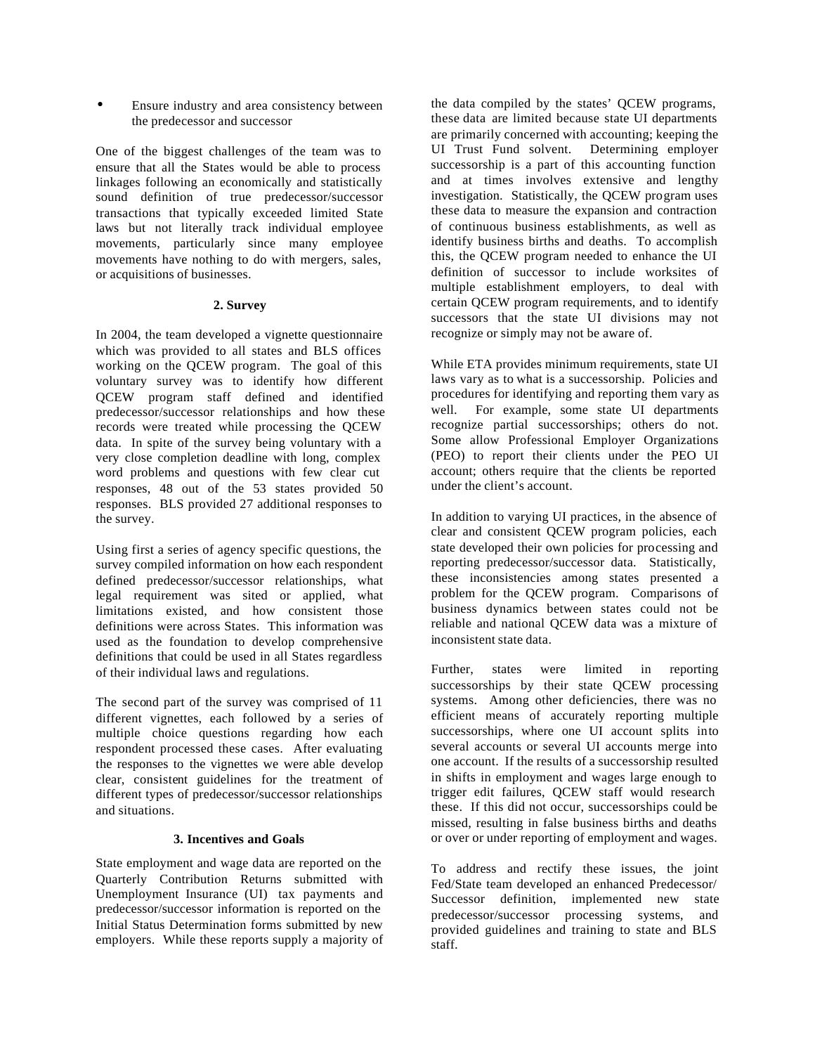• Ensure industry and area consistency between the predecessor and successor

One of the biggest challenges of the team was to ensure that all the States would be able to process linkages following an economically and statistically sound definition of true predecessor/successor transactions that typically exceeded limited State laws but not literally track individual employee movements, particularly since many employee movements have nothing to do with mergers, sales, or acquisitions of businesses.

### **2. Survey**

In 2004, the team developed a vignette questionnaire which was provided to all states and BLS offices working on the QCEW program. The goal of this voluntary survey was to identify how different QCEW program staff defined and identified predecessor/successor relationships and how these records were treated while processing the QCEW data. In spite of the survey being voluntary with a very close completion deadline with long, complex word problems and questions with few clear cut responses, 48 out of the 53 states provided 50 responses. BLS provided 27 additional responses to the survey.

Using first a series of agency specific questions, the survey compiled information on how each respondent defined predecessor/successor relationships, what legal requirement was sited or applied, what limitations existed, and how consistent those definitions were across States. This information was used as the foundation to develop comprehensive definitions that could be used in all States regardless of their individual laws and regulations.

The second part of the survey was comprised of 11 different vignettes, each followed by a series of multiple choice questions regarding how each respondent processed these cases. After evaluating the responses to the vignettes we were able develop clear, consistent guidelines for the treatment of different types of predecessor/successor relationships and situations.

# **3. Incentives and Goals**

State employment and wage data are reported on the Quarterly Contribution Returns submitted with Unemployment Insurance (UI) tax payments and predecessor/successor information is reported on the Initial Status Determination forms submitted by new employers. While these reports supply a majority of

the data compiled by the states' QCEW programs, these data are limited because state UI departments are primarily concerned with accounting; keeping the UI Trust Fund solvent. Determining employer successorship is a part of this accounting function and at times involves extensive and lengthy investigation. Statistically, the QCEW program uses these data to measure the expansion and contraction of continuous business establishments, as well as identify business births and deaths. To accomplish this, the QCEW program needed to enhance the UI definition of successor to include worksites of multiple establishment employers, to deal with certain QCEW program requirements, and to identify successors that the state UI divisions may not recognize or simply may not be aware of.

While ETA provides minimum requirements, state UI laws vary as to what is a successorship. Policies and procedures for identifying and reporting them vary as well. For example, some state UI departments recognize partial successorships; others do not. Some allow Professional Employer Organizations (PEO) to report their clients under the PEO UI account; others require that the clients be reported under the client's account.

In addition to varying UI practices, in the absence of clear and consistent QCEW program policies, each state developed their own policies for processing and reporting predecessor/successor data. Statistically, these inconsistencies among states presented a problem for the QCEW program. Comparisons of business dynamics between states could not be reliable and national QCEW data was a mixture of inconsistent state data.

Further, states were limited in reporting successorships by their state QCEW processing systems. Among other deficiencies, there was no efficient means of accurately reporting multiple successorships, where one UI account splits into several accounts or several UI accounts merge into one account. If the results of a successorship resulted in shifts in employment and wages large enough to trigger edit failures, QCEW staff would research these. If this did not occur, successorships could be missed, resulting in false business births and deaths or over or under reporting of employment and wages.

To address and rectify these issues, the joint Fed/State team developed an enhanced Predecessor/ Successor definition, implemented new state predecessor/successor processing systems, and provided guidelines and training to state and BLS staff.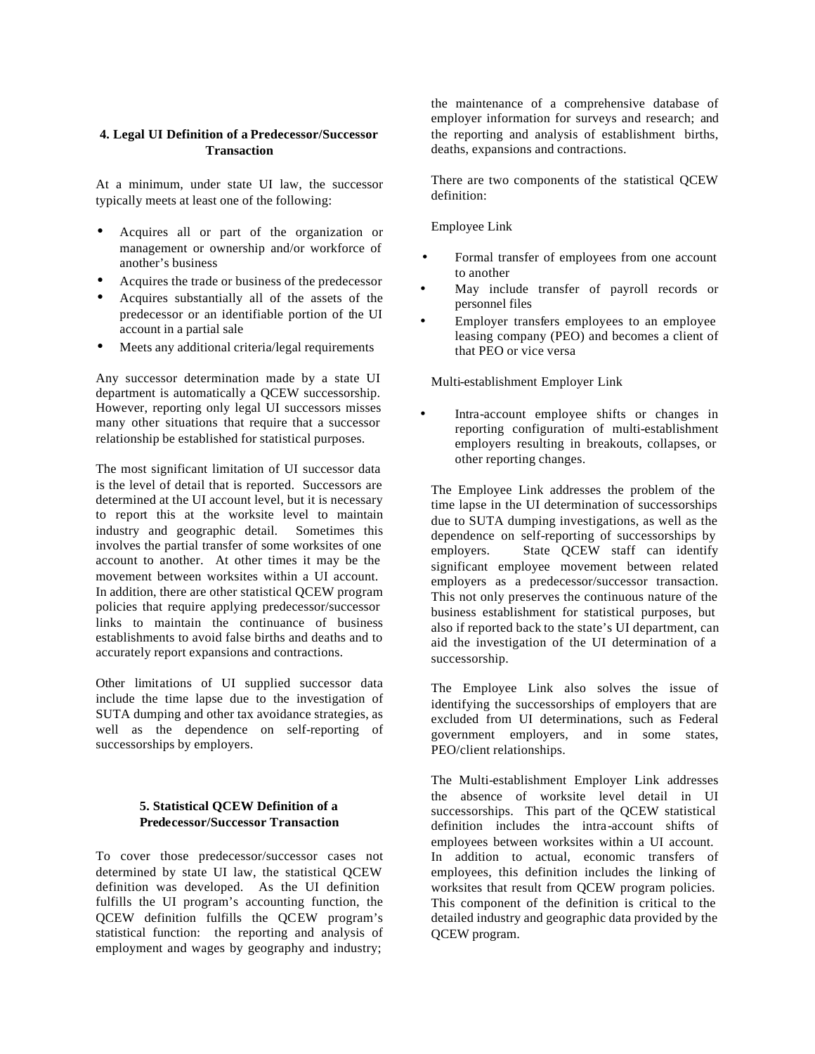# **4. Legal UI Definition of a Predecessor/Successor Transaction**

At a minimum, under state UI law, the successor typically meets at least one of the following:

- Acquires all or part of the organization or management or ownership and/or workforce of another's business
- Acquires the trade or business of the predecessor
- Acquires substantially all of the assets of the predecessor or an identifiable portion of the UI account in a partial sale
- Meets any additional criteria/legal requirements

Any successor determination made by a state UI department is automatically a QCEW successorship. However, reporting only legal UI successors misses many other situations that require that a successor relationship be established for statistical purposes.

The most significant limitation of UI successor data is the level of detail that is reported. Successors are determined at the UI account level, but it is necessary to report this at the worksite level to maintain industry and geographic detail. Sometimes this involves the partial transfer of some worksites of one account to another. At other times it may be the movement between worksites within a UI account. In addition, there are other statistical QCEW program policies that require applying predecessor/successor links to maintain the continuance of business establishments to avoid false births and deaths and to accurately report expansions and contractions.

Other limitations of UI supplied successor data include the time lapse due to the investigation of SUTA dumping and other tax avoidance strategies, as well as the dependence on self-reporting of successorships by employers.

# **5. Statistical QCEW Definition of a Predecessor/Successor Transaction**

To cover those predecessor/successor cases not determined by state UI law, the statistical QCEW definition was developed. As the UI definition fulfills the UI program's accounting function, the QCEW definition fulfills the QCEW program's statistical function: the reporting and analysis of employment and wages by geography and industry;

the maintenance of a comprehensive database of employer information for surveys and research; and the reporting and analysis of establishment births, deaths, expansions and contractions.

There are two components of the statistical QCEW definition:

Employee Link

- Formal transfer of employees from one account to another
- May include transfer of payroll records or personnel files
- Employer transfers employees to an employee leasing company (PEO) and becomes a client of that PEO or vice versa

Multi-establishment Employer Link

• Intra-account employee shifts or changes in reporting configuration of multi-establishment employers resulting in breakouts, collapses, or other reporting changes.

The Employee Link addresses the problem of the time lapse in the UI determination of successorships due to SUTA dumping investigations, as well as the dependence on self-reporting of successorships by employers. State QCEW staff can identify significant employee movement between related employers as a predecessor/successor transaction. This not only preserves the continuous nature of the business establishment for statistical purposes, but also if reported back to the state's UI department, can aid the investigation of the UI determination of a successorship.

The Employee Link also solves the issue of identifying the successorships of employers that are excluded from UI determinations, such as Federal government employers, and in some states, PEO/client relationships.

The Multi-establishment Employer Link addresses the absence of worksite level detail in UI successorships. This part of the QCEW statistical definition includes the intra-account shifts of employees between worksites within a UI account. In addition to actual, economic transfers of employees, this definition includes the linking of worksites that result from QCEW program policies. This component of the definition is critical to the detailed industry and geographic data provided by the QCEW program.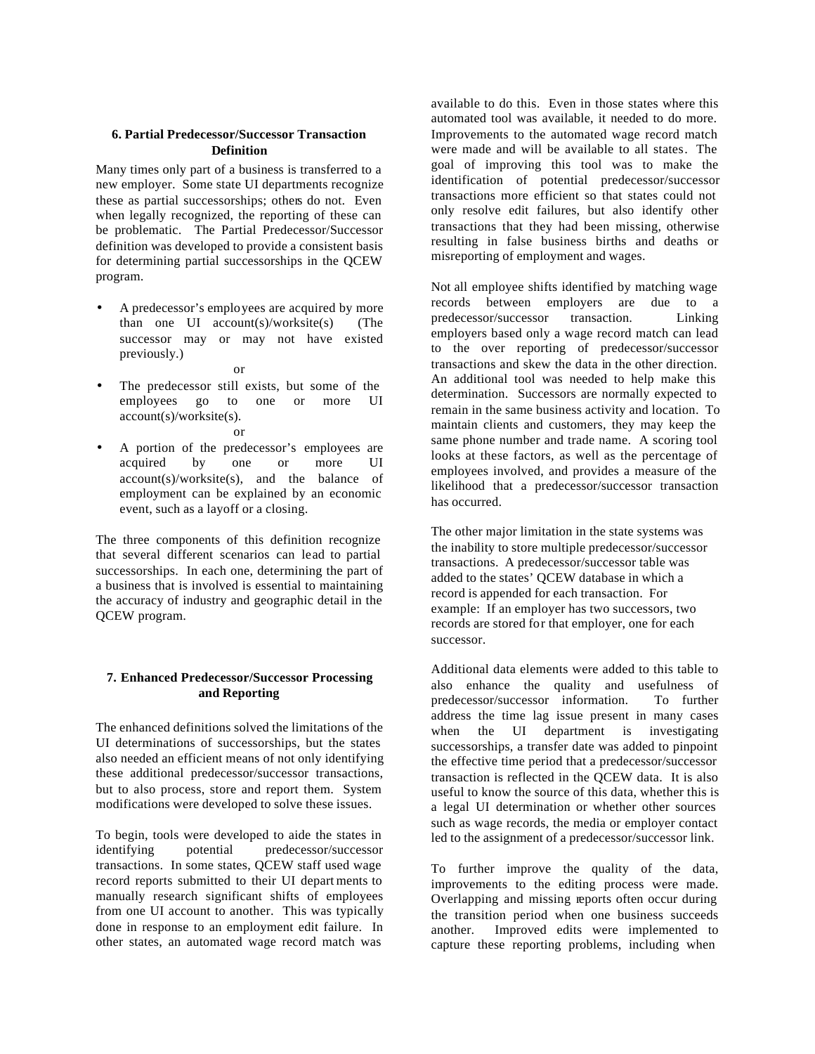### **6. Partial Predecessor/Successor Transaction Definition**

Many times only part of a business is transferred to a new employer. Some state UI departments recognize these as partial successorships; others do not. Even when legally recognized, the reporting of these can be problematic. The Partial Predecessor/Successor definition was developed to provide a consistent basis for determining partial successorships in the QCEW program.

- A predecessor's employees are acquired by more than one  $UI$  account(s)/worksite(s) (The successor may or may not have existed previously.)
	- or
- The predecessor still exists, but some of the employees go to one or more UI account(s)/worksite(s). or
- A portion of the predecessor's employees are acquired by one or more UI  $account(s)/worksite(s)$ , and the balance of employment can be explained by an economic event, such as a layoff or a closing.

The three components of this definition recognize that several different scenarios can lead to partial successorships. In each one, determining the part of a business that is involved is essential to maintaining the accuracy of industry and geographic detail in the QCEW program.

# **7. Enhanced Predecessor/Successor Processing and Reporting**

The enhanced definitions solved the limitations of the UI determinations of successorships, but the states also needed an efficient means of not only identifying these additional predecessor/successor transactions, but to also process, store and report them. System modifications were developed to solve these issues.

To begin, tools were developed to aide the states in identifying potential predecessor/successor transactions. In some states, QCEW staff used wage record reports submitted to their UI depart ments to manually research significant shifts of employees from one UI account to another. This was typically done in response to an employment edit failure. In other states, an automated wage record match was

available to do this. Even in those states where this automated tool was available, it needed to do more. Improvements to the automated wage record match were made and will be available to all states. The goal of improving this tool was to make the identification of potential predecessor/successor transactions more efficient so that states could not only resolve edit failures, but also identify other transactions that they had been missing, otherwise resulting in false business births and deaths or misreporting of employment and wages.

Not all employee shifts identified by matching wage records between employers are due to a predecessor/successor transaction. Linking employers based only a wage record match can lead to the over reporting of predecessor/successor transactions and skew the data in the other direction. An additional tool was needed to help make this determination. Successors are normally expected to remain in the same business activity and location. To maintain clients and customers, they may keep the same phone number and trade name. A scoring tool looks at these factors, as well as the percentage of employees involved, and provides a measure of the likelihood that a predecessor/successor transaction has occurred.

The other major limitation in the state systems was the inability to store multiple predecessor/successor transactions. A predecessor/successor table was added to the states' QCEW database in which a record is appended for each transaction. For example: If an employer has two successors, two records are stored for that employer, one for each successor.

Additional data elements were added to this table to also enhance the quality and usefulness of predecessor/successor information. To further address the time lag issue present in many cases when the UI department is investigating successorships, a transfer date was added to pinpoint the effective time period that a predecessor/successor transaction is reflected in the QCEW data. It is also useful to know the source of this data, whether this is a legal UI determination or whether other sources such as wage records, the media or employer contact led to the assignment of a predecessor/successor link.

To further improve the quality of the data, improvements to the editing process were made. Overlapping and missing reports often occur during the transition period when one business succeeds another. Improved edits were implemented to capture these reporting problems, including when